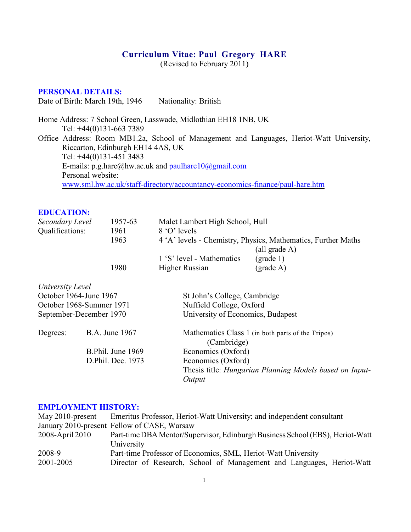# **Curriculum Vitae: Paul Gregory HARE**

(Revised to February 2011)

### **PERSONAL DETAILS:**

Date of Birth: March 19th, 1946 Nationality: British

Home Address: 7 School Green, Lasswade, Midlothian EH18 1NB, UK Tel: +44(0)131-663 7389 Office Address: Room MB1.2a, School of Management and Languages, Heriot-Watt University, Riccarton, Edinburgh EH14 4AS, UK Tel: +44(0)131-451 3483 E-mails: [p.g.hare@hw.ac.uk](mailto:p.g.hare@hw.ac.uk) and [paulhare10@gmail.com](mailto:paulhare10@gmail.com) Personal website: [www.sml.hw.ac.uk/staff-directory/accountancy-economics-finance/paul-hare.htm](http://www.sml.hw.ac.uk/staff-directory/accountancy-economics-finance/paul-hare.htm)

| <b>EDUCATION:</b>        |                       |                                                               |                                                   |  |
|--------------------------|-----------------------|---------------------------------------------------------------|---------------------------------------------------|--|
| Secondary Level          | 1957-63               | Malet Lambert High School, Hull                               |                                                   |  |
| Qualifications:          | 1961                  | 8 'O' levels                                                  |                                                   |  |
|                          | 1963                  | 4 'A' levels - Chemistry, Physics, Mathematics, Further Maths |                                                   |  |
|                          |                       |                                                               | (all grade A)                                     |  |
|                          |                       | 1 'S' level - Mathematics                                     | $\text{(grade 1)}$                                |  |
|                          | 1980                  | Higher Russian                                                | (grade A)                                         |  |
| University Level         |                       |                                                               |                                                   |  |
| October 1964-June 1967   |                       | St John's College, Cambridge                                  |                                                   |  |
| October 1968-Summer 1971 |                       | Nuffield College, Oxford                                      |                                                   |  |
| September-December 1970  |                       | University of Economics, Budapest                             |                                                   |  |
| Degrees:                 | <b>B.A.</b> June 1967 | (Cambridge)                                                   | Mathematics Class 1 (in both parts of the Tripos) |  |
|                          | B.Phil. June 1969     | Economics (Oxford)                                            |                                                   |  |

D.Phil. Dec. 1973 Economics (Oxford) Thesis title: *Hungarian Planning Models based on Input-Output*

### **EMPLOYMENT HISTORY:**

| May $2010$ -present | Emeritus Professor, Heriot-Watt University; and independent consultant        |  |
|---------------------|-------------------------------------------------------------------------------|--|
|                     | January 2010-present Fellow of CASE, Warsaw                                   |  |
| 2008-April 2010     | Part-time DBA Mentor/Supervisor, Edinburgh Business School (EBS), Heriot-Watt |  |
|                     | University                                                                    |  |
| 2008-9              | Part-time Professor of Economics, SML, Heriot-Watt University                 |  |
| 2001-2005           | Director of Research, School of Management and Languages, Heriot-Watt         |  |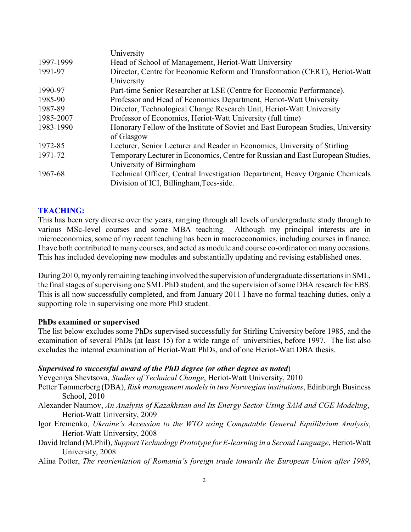|           | University                                                                       |  |
|-----------|----------------------------------------------------------------------------------|--|
| 1997-1999 | Head of School of Management, Heriot-Watt University                             |  |
| 1991-97   | Director, Centre for Economic Reform and Transformation (CERT), Heriot-Watt      |  |
|           | University                                                                       |  |
| 1990-97   | Part-time Senior Researcher at LSE (Centre for Economic Performance).            |  |
| 1985-90   | Professor and Head of Economics Department, Heriot-Watt University               |  |
| 1987-89   | Director, Technological Change Research Unit, Heriot-Watt University             |  |
| 1985-2007 | Professor of Economics, Heriot-Watt University (full time)                       |  |
| 1983-1990 | Honorary Fellow of the Institute of Soviet and East European Studies, University |  |
|           | of Glasgow                                                                       |  |
| 1972-85   | Lecturer, Senior Lecturer and Reader in Economics, University of Stirling        |  |
| 1971-72   | Temporary Lecturer in Economics, Centre for Russian and East European Studies,   |  |
|           | University of Birmingham                                                         |  |
| 1967-68   | Technical Officer, Central Investigation Department, Heavy Organic Chemicals     |  |
|           | Division of ICI, Billingham, Tees-side.                                          |  |

## **TEACHING:**

This has been very diverse over the years, ranging through all levels of undergraduate study through to various MSc-level courses and some MBA teaching. Although my principal interests are in microeconomics, some of my recent teaching has been in macroeconomics, including courses in finance. I have both contributed to many courses, and acted as module and course co-ordinator on many occasions. This has included developing new modules and substantially updating and revising established ones.

During 2010, my only remaining teaching involved the supervision of undergraduate dissertations in SML, the final stages of supervising one SML PhD student, and the supervision of some DBA research for EBS. This is all now successfully completed, and from January 2011 I have no formal teaching duties, only a supporting role in supervising one more PhD student.

## **PhDs examined or supervised**

The list below excludes some PhDs supervised successfully for Stirling University before 1985, and the examination of several PhDs (at least 15) for a wide range of universities, before 1997. The list also excludes the internal examination of Heriot-Watt PhDs, and of one Heriot-Watt DBA thesis.

### *Supervised to successful award of the PhD degree (or other degree as noted*)

Yevgeniya Shevtsova, *Studies of Technical Change*, Heriot-Watt University, 2010

- Petter Tømmerberg (DBA), *Risk management models in two Norwegian institutions*, Edinburgh Business School, 2010
- Alexander Naumov, *An Analysis of Kazakhstan and Its Energy Sector Using SAM and CGE Modeling*, Heriot-Watt University, 2009
- Igor Eremenko, *Ukraine's Accession to the WTO using Computable General Equilibrium Analysis*, Heriot-Watt University, 2008
- David Ireland (M.Phil), *Support Technology Prototype for E-learning in a Second Language*, Heriot-Watt University, 2008
- Alina Potter, *The reorientation of Romania's foreign trade towards the European Union after 1989*,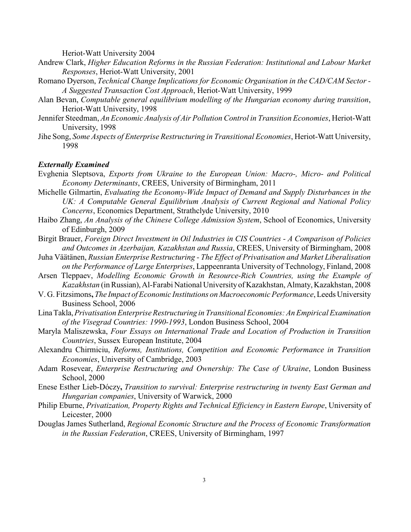Heriot-Watt University 2004

- Andrew Clark, *Higher Education Reforms in the Russian Federation: Institutional and Labour Market Responses*, Heriot-Watt University, 2001
- Romano Dyerson, *Technical Change Implications for Economic Organisation in the CAD/CAM Sector - A Suggested Transaction Cost Approach*, Heriot-Watt University, 1999
- Alan Bevan, *Computable general equilibrium modelling of the Hungarian economy during transition*, Heriot-Watt University, 1998
- Jennifer Steedman, *An Economic Analysis of Air Pollution Control in Transition Economies*, Heriot-Watt University, 1998
- Jihe Song, *Some Aspects of Enterprise Restructuring in Transitional Economies*, Heriot-Watt University, 1998

#### *Externally Examined*

- Evghenia Sleptsova, *Exports from Ukraine to the European Union: Macro-, Micro- and Political Economy Determinants*, CREES, University of Birmingham, 2011
- Michelle Gilmartin, *Evaluating the Economy-Wide Impact of Demand and Supply Disturbances in the UK: A Computable General Equilibrium Analysis of Current Regional and National Policy Concerns*, Economics Department, Strathclyde University, 2010
- Haibo Zhang, *An Analysis of the Chinese College Admission System*, School of Economics, University of Edinburgh, 2009
- Birgit Brauer, *Foreign Direct Investment in Oil Industries in CIS Countries A Comparison of Policies and Outcomes in Azerbaijan, Kazakhstan and Russia*, CREES, University of Birmingham, 2008
- Juha Väätänen, *Russian Enterprise Restructuring The Effect of Privatisation and Market Liberalisation on the Performance of Large Enterprises*, Lappeenranta University of Technology, Finland, 2008
- Arsen Tleppaev, *Modelling Economic Growth in Resource-Rich Countries, using the Example of Kazakhstan* (in Russian), Al-Farabi National University of Kazakhstan, Almaty, Kazakhstan, 2008
- V. G. Fitzsimons**,** *The Impact of Economic Institutions on Macroeconomic Performance*, Leeds University Business School, 2006
- Lina Takla, *Privatisation Enterprise Restructuring in Transitional Economies: An Empirical Examination of the Visegrad Countries: 1990-1993*, London Business School, 2004
- Maryla Maliszewska, *Four Essays on International Trade and Location of Production in Transition Countries*, Sussex European Institute, 2004
- Alexandru Chirmiciu, *Reforms, Institutions, Competition and Economic Performance in Transition Economies*, University of Cambridge, 2003
- Adam Rosevear, *Enterprise Restructuring and Ownership: The Case of Ukraine*, London Business School, 2000
- Enese Esther Lieb-Dóczy**,** *Transition to survival: Enterprise restructuring in twenty East German and Hungarian companies*, University of Warwick, 2000
- Philip Eburne, *Privatization, Property Rights and Technical Efficiency in Eastern Europe*, University of Leicester, 2000
- Douglas James Sutherland, *Regional Economic Structure and the Process of Economic Transformation in the Russian Federation*, CREES, University of Birmingham, 1997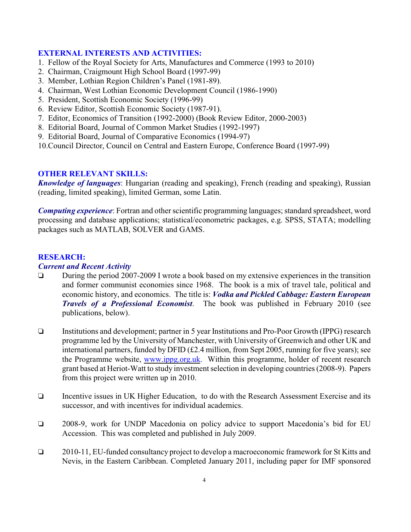### **EXTERNAL INTERESTS AND ACTIVITIES:**

- 1. Fellow of the Royal Society for Arts, Manufactures and Commerce (1993 to 2010)
- 2. Chairman, Craigmount High School Board (1997-99)
- 3. Member, Lothian Region Children's Panel (1981-89).
- 4. Chairman, West Lothian Economic Development Council (1986-1990)
- 5. President, Scottish Economic Society (1996-99)
- 6. Review Editor, Scottish Economic Society (1987-91).
- 7. Editor, Economics of Transition (1992-2000) (Book Review Editor, 2000-2003)
- 8. Editorial Board, Journal of Common Market Studies (1992-1997)
- 9. Editorial Board, Journal of Comparative Economics (1994-97)
- 10.Council Director, Council on Central and Eastern Europe, Conference Board (1997-99)

## **OTHER RELEVANT SKILLS:**

*Knowledge of languages*: Hungarian (reading and speaking), French (reading and speaking), Russian (reading, limited speaking), limited German, some Latin.

*Computing experience*: Fortran and other scientific programming languages; standard spreadsheet, word processing and database applications; statistical/econometric packages, e.g. SPSS, STATA; modelling packages such as MATLAB, SOLVER and GAMS.

#### **RESEARCH:**

#### *Current and Recent Activity*

- During the period 2007-2009 I wrote a book based on my extensive experiences in the transition and former communist economies since 1968. The book is a mix of travel tale, political and economic history, and economics. The title is: *Vodka and Pickled Cabbage: Eastern European Travels of a Professional Economist*. The book was published in February 2010 (see publications, below).
- Institutions and development; partner in 5 year Institutions and Pro-Poor Growth (IPPG) research programme led by the University of Manchester, with University of Greenwich and other UK and international partners, funded by DFID (£2.4 million, from Sept 2005, running for five years); see the Programme website, [www.ippg.org.uk](http://www.ippg.org.uk). Within this programme, holder of recent research grant based at Heriot-Watt to study investment selection in developing countries (2008-9). Papers from this project were written up in 2010.
- Incentive issues in UK Higher Education, to do with the Research Assessment Exercise and its successor, and with incentives for individual academics.
- 2008-9, work for UNDP Macedonia on policy advice to support Macedonia's bid for EU Accession. This was completed and published in July 2009.
- 2010-11, EU-funded consultancy project to develop a macroeconomic framework for St Kitts and Nevis, in the Eastern Caribbean. Completed January 2011, including paper for IMF sponsored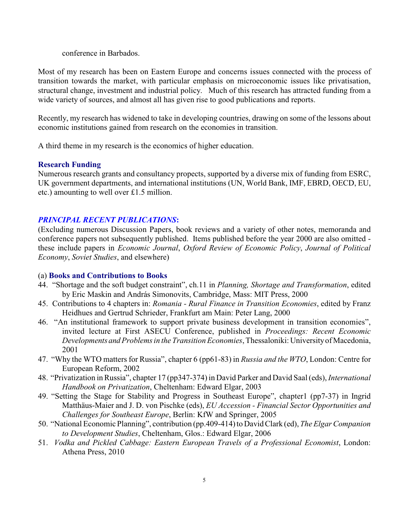conference in Barbados.

Most of my research has been on Eastern Europe and concerns issues connected with the process of transition towards the market, with particular emphasis on microeconomic issues like privatisation, structural change, investment and industrial policy. Much of this research has attracted funding from a wide variety of sources, and almost all has given rise to good publications and reports.

Recently, my research has widened to take in developing countries, drawing on some of the lessons about economic institutions gained from research on the economies in transition.

A third theme in my research is the economics of higher education.

### **Research Funding**

Numerous research grants and consultancy propects, supported by a diverse mix of funding from ESRC, UK government departments, and international institutions (UN, World Bank, IMF, EBRD, OECD, EU, etc.) amounting to well over £1.5 million.

#### *PRINCIPAL RECENT PUBLICATIONS***:**

(Excluding numerous Discussion Papers, book reviews and a variety of other notes, memoranda and conference papers not subsequently published. Items published before the year 2000 are also omitted these include papers in *Economic Journal*, *Oxford Review of Economic Policy*, *Journal of Political Economy*, *Soviet Studies*, and elsewhere)

#### (a) **Books and Contributions to Books**

- 44. "Shortage and the soft budget constraint", ch.11 in *Planning, Shortage and Transformation*, edited by Eric Maskin and András Simonovits, Cambridge, Mass: MIT Press, 2000
- 45. Contributions to 4 chapters in: *Romania Rural Finance in Transition Economies*, edited by Franz Heidhues and Gertrud Schrieder, Frankfurt am Main: Peter Lang, 2000
- 46. "An institutional framework to support private business development in transition economies", invited lecture at First ASECU Conference, published in *Proceedings: Recent Economic Developments and Problems in the Transition Economies*, Thessaloniki: University of Macedonia, 2001
- 47. "Why the WTO matters for Russia", chapter 6 (pp61-83) in *Russia and the WTO*, London: Centre for European Reform, 2002
- 48. "Privatization in Russia", chapter 17 (pp347-374) in David Parker and David Saal (eds), *International Handbook on Privatization*, Cheltenham: Edward Elgar, 2003
- 49. "Setting the Stage for Stability and Progress in Southeast Europe", chapter1 (pp7-37) in Ingrid Matthäus-Maier and J. D. von Pischke (eds), *EU Accession - Financial Sector Opportunities and Challenges for Southeast Europe*, Berlin: KfW and Springer, 2005
- 50. "National Economic Planning", contribution (pp.409-414) to David Clark (ed), *The Elgar Companion to Development Studies*, Cheltenham, Glos.: Edward Elgar, 2006
- 51. *Vodka and Pickled Cabbage: Eastern European Travels of a Professional Economist*, London: Athena Press, 2010